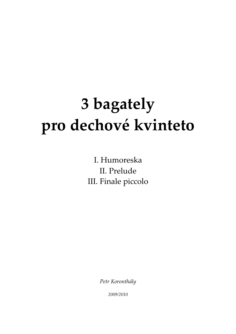## 3 bagately pro dechové kvinteto

I. Humoreska II. Prelude III. Finale piccolo

Petr Koronthály

2009/2010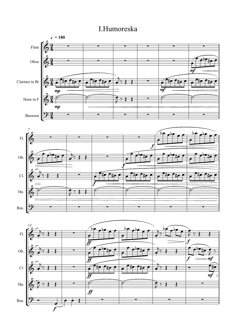## I.Humoreska

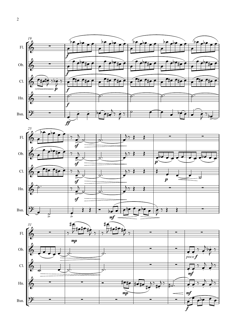

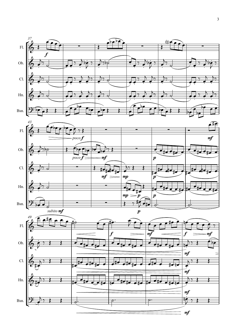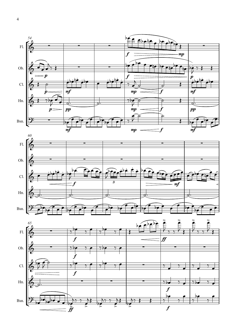



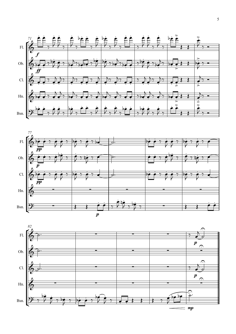



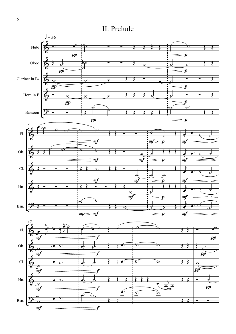

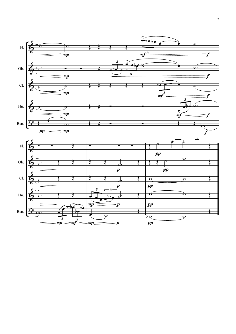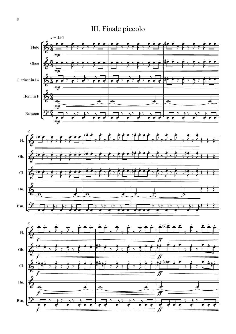## III. Finale piccolo

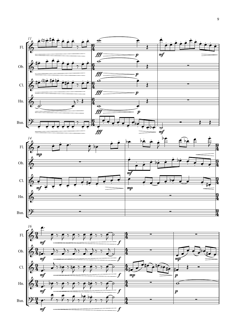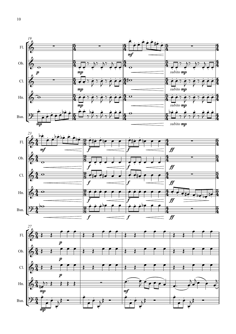



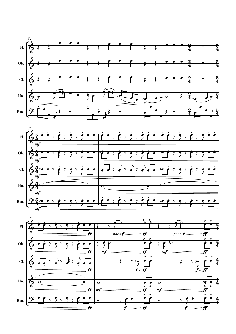